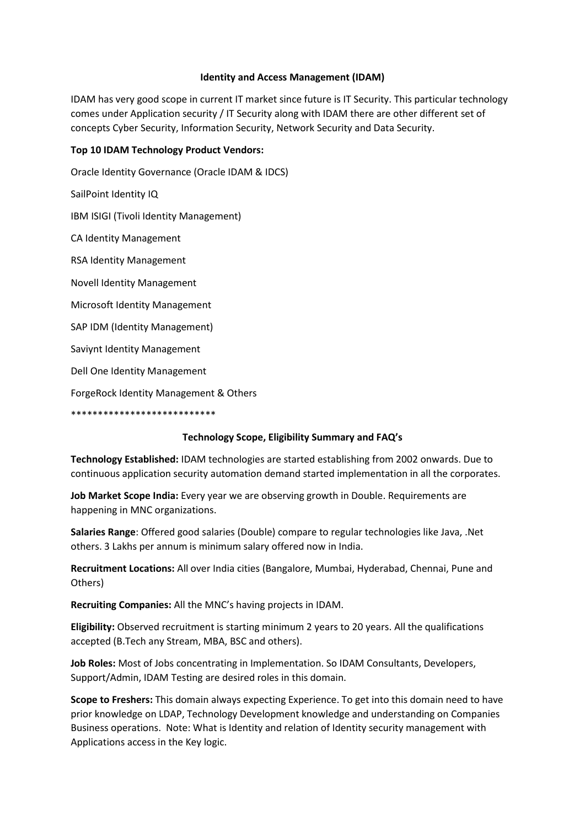## **Identity and Access Management (IDAM)**

IDAM has very good scope in current IT market since future is IT Security. This particular technology comes under Application security / IT Security along with IDAM there are other different set of concepts Cyber Security, Information Security, Network Security and Data Security.

## **Top 10 IDAM Technology Product Vendors:**

Oracle Identity Governance (Oracle IDAM & IDCS) SailPoint Identity IQ IBM ISIGI (Tivoli Identity Management) CA Identity Management RSA Identity Management Novell Identity Management Microsoft Identity Management SAP IDM (Identity Management) Saviynt Identity Management Dell One Identity Management ForgeRock Identity Management & Others \*\*\*\*\*\*\*\*\*\*\*\*\*\*\*\*\*\*\*\*\*\*\*\*\*\*\*

## **Technology Scope, Eligibility Summary and FAQ's**

**Technology Established:** IDAM technologies are started establishing from 2002 onwards. Due to continuous application security automation demand started implementation in all the corporates.

**Job Market Scope India:** Every year we are observing growth in Double. Requirements are happening in MNC organizations.

**Salaries Range**: Offered good salaries (Double) compare to regular technologies like Java, .Net others. 3 Lakhs per annum is minimum salary offered now in India.

**Recruitment Locations:** All over India cities (Bangalore, Mumbai, Hyderabad, Chennai, Pune and Others)

**Recruiting Companies:** All the MNC's having projects in IDAM.

**Eligibility:** Observed recruitment is starting minimum 2 years to 20 years. All the qualifications accepted (B.Tech any Stream, MBA, BSC and others).

**Job Roles:** Most of Jobs concentrating in Implementation. So IDAM Consultants, Developers, Support/Admin, IDAM Testing are desired roles in this domain.

**Scope to Freshers:** This domain always expecting Experience. To get into this domain need to have prior knowledge on LDAP, Technology Development knowledge and understanding on Companies Business operations. Note: What is Identity and relation of Identity security management with Applications access in the Key logic.